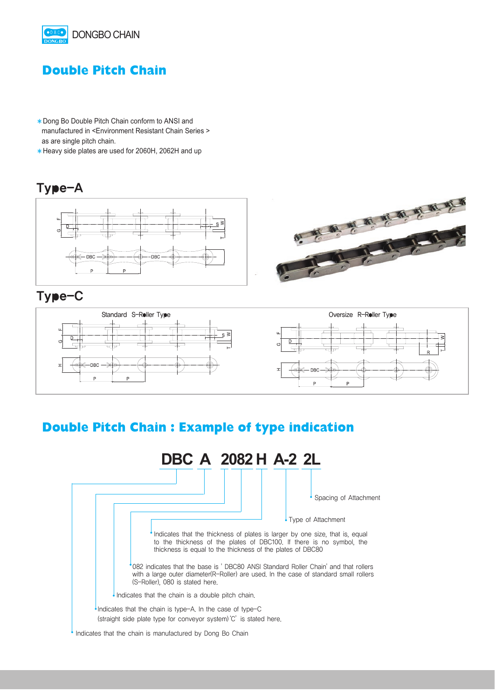

### **Double Pitch Chain**

- �Dong Bo Double Pitch Chain conform to ANSI and manufactured in <Environment Resistant Chain Series > as are single pitch chain.
- �Heavy side plates are used for 2060H, 2062H and up

#### Type-A



### Type-C



# **Double Pitch Chain : Example of type indication**

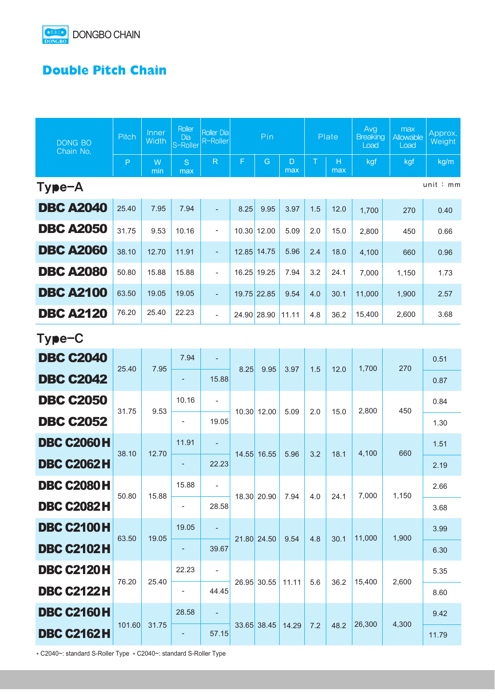

## **Double Pitch Chain**

| <b>DONG BO</b><br>Chain No. | Pitch        | Inner<br>Width | Roller<br><b>Dia</b><br>S-Roller | <b>Roller Dia</b><br>R-Roller | Pin         |               |          | Plate |          | Avg<br><b>Breaking</b><br>Load | max<br>Allowable<br>Load | Approx.<br>Weight |
|-----------------------------|--------------|----------------|----------------------------------|-------------------------------|-------------|---------------|----------|-------|----------|--------------------------------|--------------------------|-------------------|
|                             | $\mathsf{P}$ | W<br>min       | S<br>max                         | $\mathsf{R}$                  | F           | ${\mathsf G}$ | D<br>max | T     | Н<br>max | kgf                            | kgf                      | kg/m              |
| unit:mm<br>Type-A           |              |                |                                  |                               |             |               |          |       |          |                                |                          |                   |
| <b>DBC A2040</b>            | 25.40        | 7.95           | 7.94                             |                               | 8.25        | 9.95          | 3.97     | 1.5   | 12.0     | 1,700                          | 270                      | 0.40              |
| <b>DBC A2050</b>            | 31.75        | 9.53           | 10.16                            | $\overline{\phantom{a}}$      |             | 10.30 12.00   | 5.09     | 2.0   | 15.0     | 2,800                          | 450                      | 0.66              |
| <b>DBC A2060</b>            | 38.10        | 12.70          | 11.91                            | $\overline{\phantom{a}}$      |             | 12.85 14.75   | 5.96     | 2.4   | 18.0     | 4,100                          | 660                      | 0.96              |
| <b>DBC A2080</b>            | 50.80        | 15.88          | 15.88                            | $\overline{\phantom{a}}$      |             | 16.25 19.25   | 7.94     | 3.2   | 24.1     | 7,000                          | 1,150                    | 1.73              |
| <b>DBC A2100</b>            | 63.50        | 19.05          | 19.05                            | $\overline{\phantom{a}}$      | 19.75 22.85 |               | 9.54     | 4.0   | 30.1     | 11,000                         | 1,900                    | 2.57              |
| <b>DBC A2120</b>            | 76.20        | 25.40          | 22.23                            | $\overline{\phantom{a}}$      | 24.90 28.90 |               | 11.11    | 4.8   | 36.2     | 15,400                         | 2,600                    | 3.68              |
| Type-C                      |              |                |                                  |                               |             |               |          |       |          |                                |                          |                   |
| <b>DBC C2040</b>            | 25.40        | 7.95           | 7.94                             |                               | 8.25        | 9.95          | 3.97     | 1.5   | 12.0     | 1,700                          | 270                      | 0.51              |
| <b>DBC C2042</b>            |              |                |                                  | 15.88                         |             |               |          |       |          |                                |                          | 0.87              |
| <b>DBC C2050</b>            | 31.75        | 9.53           | 10.16                            | $\overline{\phantom{a}}$      |             | 10.30 12.00   | 5.09     | 2.0   | 15.0     | 2,800                          | 450                      | 0.84              |
| <b>DBC C2052</b>            |              |                |                                  | 19.05                         |             |               |          |       |          |                                |                          | 1.30              |
| <b>DBC C2060H</b>           | 38.10        | 12.70          | 11.91                            |                               |             | 14.55 16.55   | 5.96     | 3.2   | 18.1     | 4,100                          | 660                      | 1.51              |
| <b>DBC C2062H</b>           |              |                | ٠                                | 22.23                         |             |               |          |       |          |                                |                          | 2.19              |
| <b>DBC C2080H</b>           | 50.80        | 15.88          | 15.88                            |                               |             | 18.30 20.90   | 7.94     | 4.0   | 24.1     | 7,000                          | 1,150                    | 2.66              |
| <b>DBC C2082H</b>           |              |                |                                  | 28.58                         |             |               |          |       |          |                                |                          | 3.68              |
| <b>DBC C2100H</b>           | 63.50        | 19.05          | 19.05                            |                               |             | 21.80 24.50   | 9.54     | 4.8   | 30.1     | 11,000                         | 1,900                    | 3.99              |
| <b>DBC C2102H</b>           |              |                |                                  | 39.67                         |             |               |          |       |          |                                |                          | 6.30              |
| <b>DBC C2120H</b>           | 76.20        | 25.40          | 22.23                            | $\overline{\phantom{a}}$      |             | 26.95 30.55   | 11.11    | 5.6   | 36.2     | 15,400                         | 2,600                    | 5.35              |
| <b>DBC C2122H</b>           |              |                |                                  | 44.45                         |             |               |          |       |          |                                |                          | 8.60              |
| <b>DBC C2160H</b>           | 101.60       |                | 28.58                            |                               |             | 33.65 38.45   | 14.29    | 7.2   | 48.2     | 26,300                         | 4,300                    | 9.42              |
| <b>DBC C2162H</b>           |              | 31.75          |                                  | 57.15                         |             |               |          |       |          |                                |                          | 11.79             |

\* C2040~: standard S-Roller Type \* C2040~: standard S-Roller Type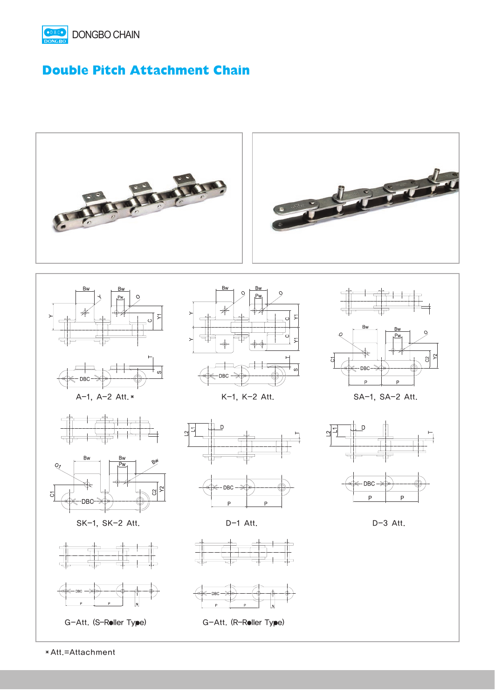

### **Double Pitch Attachment Chain**



�Att.=Attachment